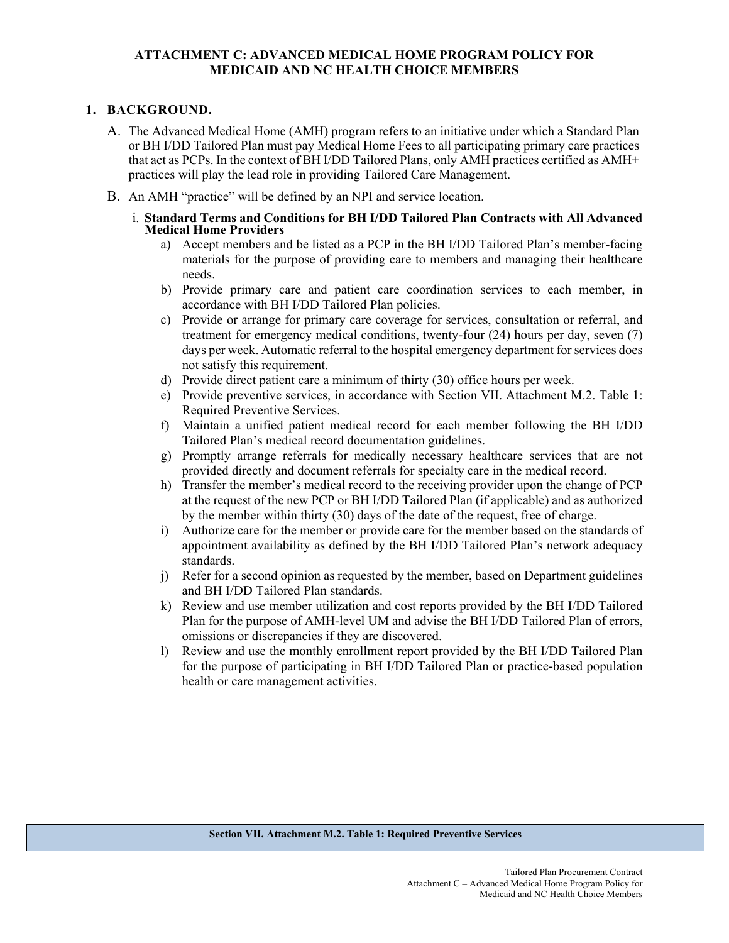## **ATTACHMENT C: ADVANCED MEDICAL HOME PROGRAM POLICY FOR MEDICAID AND NC HEALTH CHOICE MEMBERS**

## **1. BACKGROUND.**

- A. The Advanced Medical Home (AMH) program refers to an initiative under which a Standard Plan or BH I/DD Tailored Plan must pay Medical Home Fees to all participating primary care practices that act as PCPs. In the context of BH I/DD Tailored Plans, only AMH practices certified as AMH+ practices will play the lead role in providing Tailored Care Management.
- B. An AMH "practice" will be defined by an NPI and service location.
	- i. **Standard Terms and Conditions for BH I/DD Tailored Plan Contracts with All Advanced Medical Home Providers**
		- a) Accept members and be listed as a PCP in the BH I/DD Tailored Plan's member-facing materials for the purpose of providing care to members and managing their healthcare needs.
		- b) Provide primary care and patient care coordination services to each member, in accordance with BH I/DD Tailored Plan policies.
		- c) Provide or arrange for primary care coverage for services, consultation or referral, and treatment for emergency medical conditions, twenty-four (24) hours per day, seven (7) days per week. Automatic referral to the hospital emergency department for services does not satisfy this requirement.
		- d) Provide direct patient care a minimum of thirty (30) office hours per week.
		- e) Provide preventive services, in accordance with Section VII. Attachment M.2. Table 1: Required Preventive Services.
		- f) Maintain a unified patient medical record for each member following the BH I/DD Tailored Plan's medical record documentation guidelines.
		- g) Promptly arrange referrals for medically necessary healthcare services that are not provided directly and document referrals for specialty care in the medical record.
		- h) Transfer the member's medical record to the receiving provider upon the change of PCP at the request of the new PCP or BH I/DD Tailored Plan (if applicable) and as authorized by the member within thirty (30) days of the date of the request, free of charge.
		- i) Authorize care for the member or provide care for the member based on the standards of appointment availability as defined by the BH I/DD Tailored Plan's network adequacy standards.
		- j) Refer for a second opinion as requested by the member, based on Department guidelines and BH I/DD Tailored Plan standards.
		- k) Review and use member utilization and cost reports provided by the BH I/DD Tailored Plan for the purpose of AMH-level UM and advise the BH I/DD Tailored Plan of errors, omissions or discrepancies if they are discovered.
		- l) Review and use the monthly enrollment report provided by the BH I/DD Tailored Plan for the purpose of participating in BH I/DD Tailored Plan or practice-based population health or care management activities.

## **Section VII. Attachment M.2. Table 1: Required Preventive Services**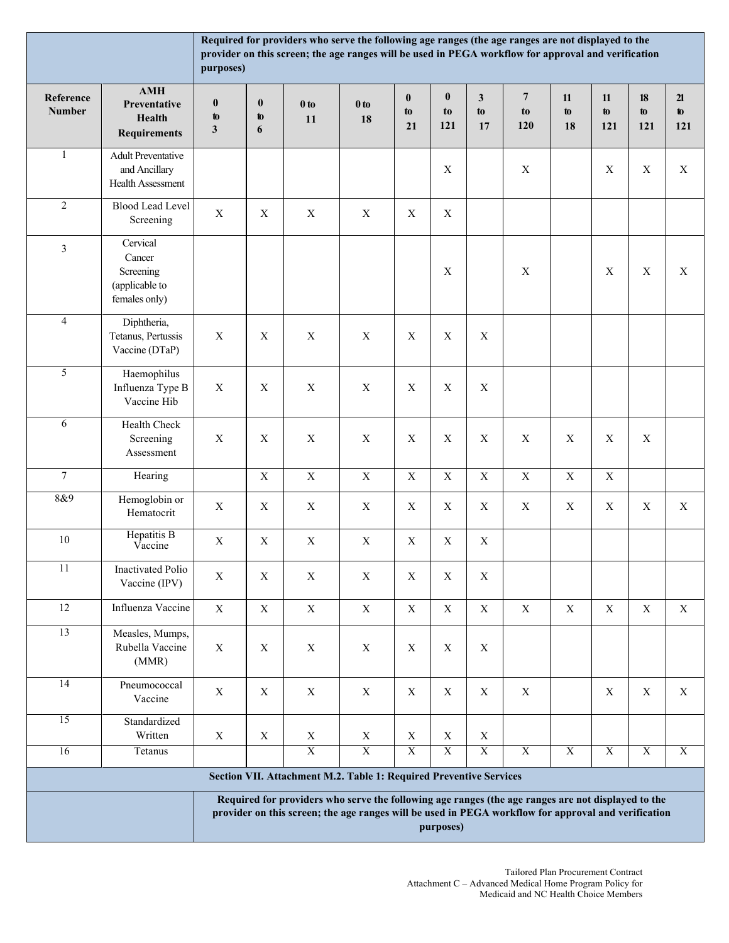|                                                                                                                                                                                                                        | Required for providers who serve the following age ranges (the age ranges are not displayed to the<br>provider on this screen; the age ranges will be used in PEGA workflow for approval and verification<br>purposes) |                                |                           |                           |                         |                         |                               |                          |                             |                          |                           |                     |                 |
|------------------------------------------------------------------------------------------------------------------------------------------------------------------------------------------------------------------------|------------------------------------------------------------------------------------------------------------------------------------------------------------------------------------------------------------------------|--------------------------------|---------------------------|---------------------------|-------------------------|-------------------------|-------------------------------|--------------------------|-----------------------------|--------------------------|---------------------------|---------------------|-----------------|
| Reference<br><b>Number</b>                                                                                                                                                                                             | <b>AMH</b><br>Preventative<br><b>Health</b><br><b>Requirements</b>                                                                                                                                                     | $\bf{0}$<br>to<br>$\mathbf{3}$ | $\bf{0}$<br>to<br>6       | $0$ to<br>11              | $0$ to<br>18            | $\bf{0}$<br>to<br>21    | $\boldsymbol{0}$<br>to<br>121 | $\mathbf{3}$<br>to<br>17 | $\overline{7}$<br>to<br>120 | 11<br>$\mathbf{t}$<br>18 | 11<br>$\mathbf{t}$<br>121 | $18\,$<br>to<br>121 | 21<br>to<br>121 |
| $\mathbf{1}$                                                                                                                                                                                                           | <b>Adult Preventative</b><br>and Ancillary<br>Health Assessment                                                                                                                                                        |                                |                           |                           |                         |                         | $\mathbf X$                   |                          | X                           |                          | $\mathbf X$               | $\mathbf X$         | $\mathbf X$     |
| $\sqrt{2}$                                                                                                                                                                                                             | <b>Blood Lead Level</b><br>Screening                                                                                                                                                                                   | $\mathbf X$                    | $\mathbf X$               | X                         | X                       | $\mathbf X$             | $\mathbf X$                   |                          |                             |                          |                           |                     |                 |
| $\mathfrak{Z}$                                                                                                                                                                                                         | Cervical<br>Cancer<br>Screening<br>(applicable to<br>females only)                                                                                                                                                     |                                |                           |                           |                         |                         | $\mathbf X$                   |                          | X                           |                          | $\mathbf X$               | $\mathbf X$         | $\mathbf X$     |
| $\overline{4}$                                                                                                                                                                                                         | Diphtheria,<br>Tetanus, Pertussis<br>Vaccine (DTaP)                                                                                                                                                                    | $\mathbf X$                    | $\mathbf X$               | $\boldsymbol{\mathrm{X}}$ | $\mathbf X$             | $\mathbf X$             | $\mathbf X$                   | $\mathbf X$              |                             |                          |                           |                     |                 |
| 5                                                                                                                                                                                                                      | Haemophilus<br>Influenza Type B<br>Vaccine Hib                                                                                                                                                                         | $\mathbf X$                    | $\mathbf X$               | $\mathbf X$               | $\mathbf X$             | $\mathbf X$             | $\mathbf X$                   | $\mathbf X$              |                             |                          |                           |                     |                 |
| 6                                                                                                                                                                                                                      | Health Check<br>Screening<br>Assessment                                                                                                                                                                                | $\mathbf X$                    | $\mathbf X$               | $\mathbf X$               | $\mathbf X$             | $\mathbf X$             | $\mathbf X$                   | $\mathbf X$              | $\boldsymbol{\mathrm{X}}$   | $\mathbf X$              | $\mathbf X$               | $\mathbf X$         |                 |
| $\boldsymbol{7}$                                                                                                                                                                                                       | Hearing                                                                                                                                                                                                                |                                | $\mathbf X$               | $\mathbf X$               | $\mathbf X$             | $\mathbf X$             | $\mathbf X$                   | $\mathbf X$              | $\mathbf X$                 | $\mathbf X$              | $\mathbf X$               |                     |                 |
| 8&9                                                                                                                                                                                                                    | Hemoglobin or<br>Hematocrit                                                                                                                                                                                            | $\mathbf X$                    | $\boldsymbol{\mathrm{X}}$ | X                         | X                       | $\mathbf X$             | X                             | $\mathbf X$              | X                           | $\mathbf X$              | $\mathbf X$               | $\mathbf X$         | X               |
| $10\,$                                                                                                                                                                                                                 | <b>Hepatitis B</b><br>Vaccine                                                                                                                                                                                          | $\mathbf X$                    | $\mathbf X$               | $\mathbf X$               | $\mathbf X$             | $\mathbf X$             | $\mathbf X$                   | $\mathbf X$              |                             |                          |                           |                     |                 |
| 11                                                                                                                                                                                                                     | Inactivated Polio<br>Vaccine (IPV)                                                                                                                                                                                     | $\mathbf X$                    | $\mathbf X$               | $\mathbf X$               | $\mathbf X$             | $\mathbf X$             | $\mathbf X$                   | $\mathbf X$              |                             |                          |                           |                     |                 |
| $12\,$                                                                                                                                                                                                                 | Influenza Vaccine                                                                                                                                                                                                      | $\mathbf X$                    | $\mathbf X$               | $\mathbf X$               | $\mathbf X$             | $\mathbf X$             | $\mathbf X$                   | $\mathbf X$              | $\mathbf X$                 | $\mathbf X$              | $\mathbf X$               | $\mathbf X$         | $\mathbf X$     |
| $\overline{13}$                                                                                                                                                                                                        | Measles, Mumps,<br>Rubella Vaccine<br>(MMR)                                                                                                                                                                            | $\mathbf X$                    | $\mathbf X$               | $\mathbf X$               | $\mathbf X$             | $\mathbf X$             | $\mathbf X$                   | $\mathbf X$              |                             |                          |                           |                     |                 |
| 14                                                                                                                                                                                                                     | Pneumococcal<br>Vaccine                                                                                                                                                                                                | $\mathbf X$                    | $\mathbf X$               | $\mathbf X$               | $\mathbf X$             | $\mathbf X$             | $\mathbf X$                   | $\mathbf X$              | $\mathbf X$                 |                          | $\mathbf X$               | $\mathbf X$         | $\mathbf X$     |
| 15                                                                                                                                                                                                                     | Standardized<br>Written                                                                                                                                                                                                | $\mathbf X$                    | $\mathbf X$               | $\mathbf X$               | $\mathbf X$             | $\mathbf X$             | $\mathbf X$                   | $\mathbf X$              |                             |                          |                           |                     |                 |
| 16                                                                                                                                                                                                                     | Tetanus                                                                                                                                                                                                                |                                |                           | $\overline{X}$            | $\overline{\textbf{X}}$ | $\overline{\textbf{X}}$ | $\overline{\textbf{X}}$       | $\overline{\textbf{X}}$  | $\overline{X}$              | $\overline{\text{X}}$    | $\overline{\text{X}}$     | $\overline{X}$      | $\overline{X}$  |
| Section VII. Attachment M.2. Table 1: Required Preventive Services                                                                                                                                                     |                                                                                                                                                                                                                        |                                |                           |                           |                         |                         |                               |                          |                             |                          |                           |                     |                 |
| Required for providers who serve the following age ranges (the age ranges are not displayed to the<br>provider on this screen; the age ranges will be used in PEGA workflow for approval and verification<br>purposes) |                                                                                                                                                                                                                        |                                |                           |                           |                         |                         |                               |                          |                             |                          |                           |                     |                 |